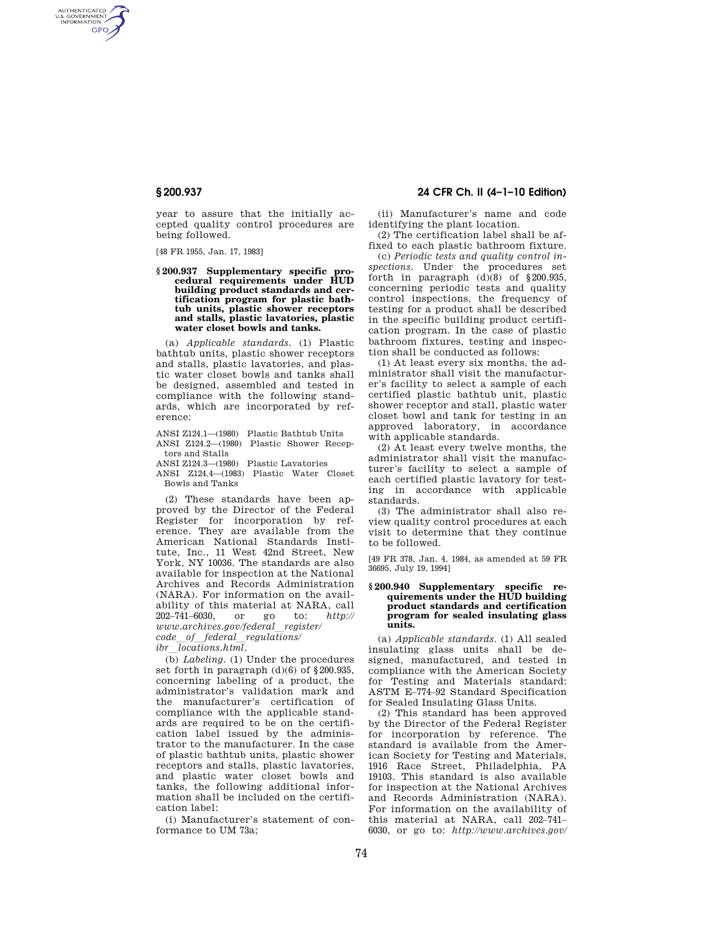AUTHENTICATED<br>U.S. GOVERNMENT<br>INFORMATION **GPO** 

> year to assure that the initially accepted quality control procedures are being followed.

[48 FR 1955, Jan. 17, 1983]

**§ 200.937 Supplementary specific procedural requirements under HUD building product standards and certification program for plastic bathtub units, plastic shower receptors and stalls, plastic lavatories, plastic water closet bowls and tanks.** 

(a) *Applicable standards.* (1) Plastic bathtub units, plastic shower receptors and stalls, plastic lavatories, and plastic water closet bowls and tanks shall be designed, assembled and tested in compliance with the following standards, which are incorporated by reference:

ANSI Z124.1—(1980) Plastic Bathtub Units ANSI Z124.2—(1980) Plastic Shower Recep-

tors and Stalls

ANSI Z124.3—(1980) Plastic Lavatories

ANSI Z124.4—(1983) Plastic Water Closet Bowls and Tanks

(2) These standards have been approved by the Director of the Federal Register for incorporation by reference. They are available from the American National Standards Institute, Inc., 11 West 42nd Street, New York, NY 10036. The standards are also available for inspection at the National Archives and Records Administration (NARA). For information on the availability of this material at NARA, call 202–741–6030, or go to: *http:// www.archives.gov/federal*l*register/ code*l*of*l*federal*l*regulations/ ibr*  $\overline{locations.html}$ .

(b) *Labeling.* (1) Under the procedures set forth in paragraph (d)(6) of §200.935, concerning labeling of a product, the administrator's validation mark and the manufacturer's certification of compliance with the applicable standards are required to be on the certification label issued by the administrator to the manufacturer. In the case of plastic bathtub units, plastic shower receptors and stalls, plastic lavatories, and plastic water closet bowls and tanks, the following additional information shall be included on the certification label:

(i) Manufacturer's statement of conformance to UM 73a;

# **§ 200.937 24 CFR Ch. II (4–1–10 Edition)**

(ii) Manufacturer's name and code identifying the plant location.

(2) The certification label shall be affixed to each plastic bathroom fixture.

(c) *Periodic tests and quality control inspections.* Under the procedures set forth in paragraph  $(d)(8)$  of §200.935, concerning periodic tests and quality control inspections, the frequency of testing for a product shall be described in the specific building product certification program. In the case of plastic bathroom fixtures, testing and inspection shall be conducted as follows:

(1) At least every six months, the administrator shall visit the manufacturer's facility to select a sample of each certified plastic bathtub unit, plastic shower receptor and stall, plastic water closet bowl and tank for testing in an approved laboratory, in accordance with applicable standards.

(2) At least every twelve months, the administrator shall visit the manufacturer's facility to select a sample of each certified plastic lavatory for testing in accordance with applicable standards.

(3) The administrator shall also review quality control procedures at each visit to determine that they continue to be followed.

[49 FR 378, Jan. 4, 1984, as amended at 59 FR 36695, July 19, 1994]

## **§ 200.940 Supplementary specific requirements under the HUD building product standards and certification program for sealed insulating glass units.**

(a) *Applicable standards.* (1) All sealed insulating glass units shall be designed, manufactured, and tested in compliance with the American Society for Testing and Materials standard: ASTM E–774–92 Standard Specification for Sealed Insulating Glass Units.

(2) This standard has been approved by the Director of the Federal Register for incorporation by reference. The standard is available from the American Society for Testing and Materials, 1916 Race Street, Philadelphia, PA 19103. This standard is also available for inspection at the National Archives and Records Administration (NARA). For information on the availability of this material at NARA, call 202–741– 6030, or go to: *http://www.archives.gov/*